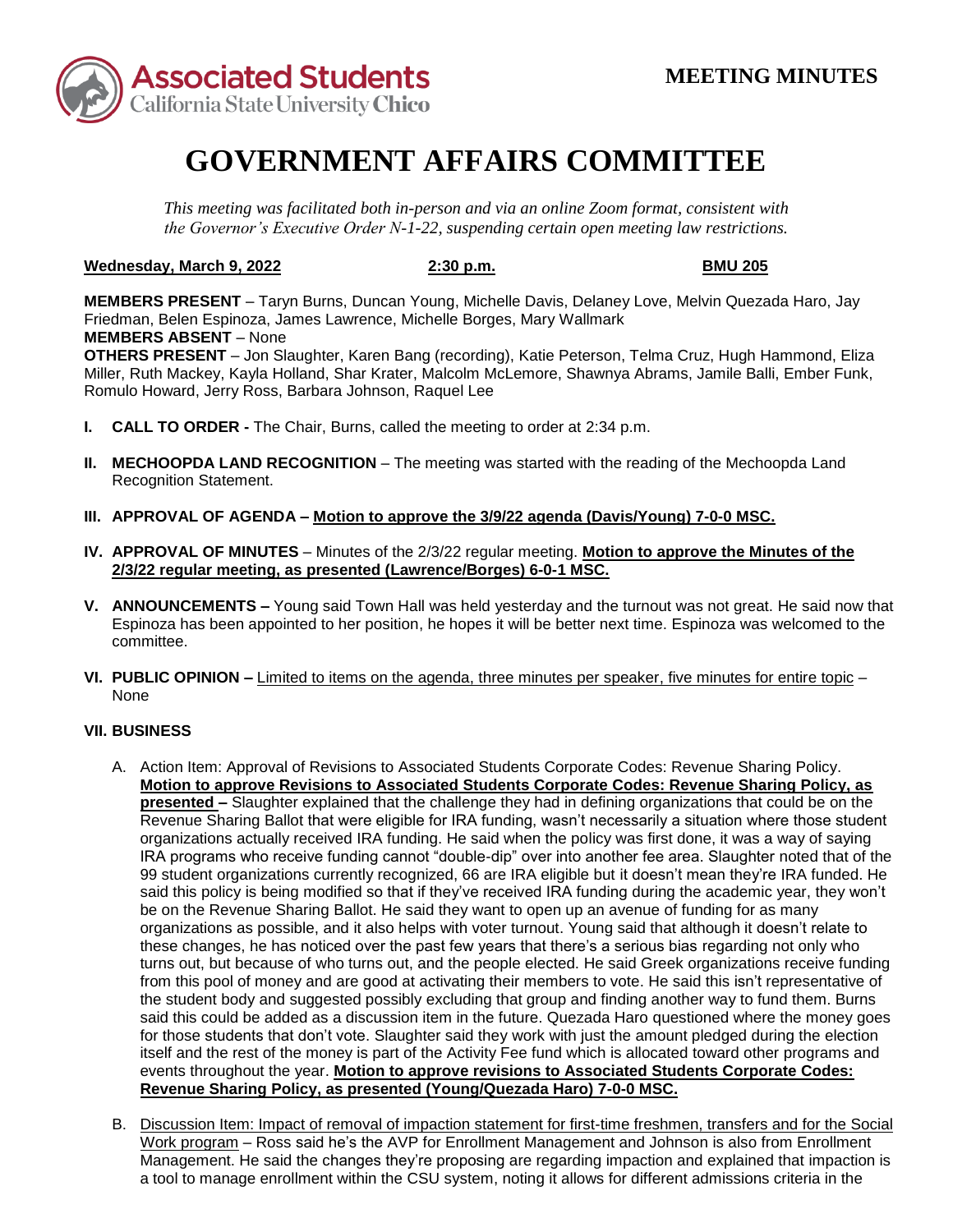

# **GOVERNMENT AFFAIRS COMMITTEE**

*This meeting was facilitated both in-person and via an online Zoom format, consistent with the Governor's Executive Order N-1-22, suspending certain open meeting law restrictions.* 

### **Wednesday, March 9, 2022 2:30 p.m. BMU 205**

 **MEMBERS ABSENT** – None **MEMBERS PRESENT** – Taryn Burns, Duncan Young, Michelle Davis, Delaney Love, Melvin Quezada Haro, Jay Friedman, Belen Espinoza, James Lawrence, Michelle Borges, Mary Wallmark

**OTHERS PRESENT** – Jon Slaughter, Karen Bang (recording), Katie Peterson, Telma Cruz, Hugh Hammond, Eliza Miller, Ruth Mackey, Kayla Holland, Shar Krater, Malcolm McLemore, Shawnya Abrams, Jamile Balli, Ember Funk, Romulo Howard, Jerry Ross, Barbara Johnson, Raquel Lee

- **I. CALL TO ORDER -** The Chair, Burns, called the meeting to order at 2:34 p.m.
- **II. MECHOOPDA LAND RECOGNITION** The meeting was started with the reading of the Mechoopda Land Recognition Statement.
- **III. APPROVAL OF AGENDA – Motion to approve the 3/9/22 agenda (Davis/Young) 7-0-0 MSC.**
- **IV. APPROVAL OF MINUTES**  Minutes of the 2/3/22 regular meeting. **Motion to approve the Minutes of the 2/3/22 regular meeting, as presented (Lawrence/Borges) 6-0-1 MSC.**
- **V. ANNOUNCEMENTS –** Young said Town Hall was held yesterday and the turnout was not great. He said now that Espinoza has been appointed to her position, he hopes it will be better next time. Espinoza was welcomed to the committee.
- **VI. PUBLIC OPINION –** Limited to items on the agenda, three minutes per speaker, five minutes for entire topic None

## **VII. BUSINESS**

- **presented –** Slaughter explained that the challenge they had in defining organizations that could be on the Revenue Sharing Ballot that were eligible for IRA funding, wasn't necessarily a situation where those student from this pool of money and are good at activating their members to vote. He said this isn't representative of said this could be added as a discussion item in the future. Quezada Haro questioned where the money goes A. Action Item: Approval of Revisions to Associated Students Corporate Codes: Revenue Sharing Policy. **Motion to approve Revisions to Associated Students Corporate Codes: Revenue Sharing Policy, as**  organizations actually received IRA funding. He said when the policy was first done, it was a way of saying IRA programs who receive funding cannot "double-dip" over into another fee area. Slaughter noted that of the 99 student organizations currently recognized, 66 are IRA eligible but it doesn't mean they're IRA funded. He said this policy is being modified so that if they've received IRA funding during the academic year, they won't be on the Revenue Sharing Ballot. He said they want to open up an avenue of funding for as many organizations as possible, and it also helps with voter turnout. Young said that although it doesn't relate to these changes, he has noticed over the past few years that there's a serious bias regarding not only who turns out, but because of who turns out, and the people elected. He said Greek organizations receive funding the student body and suggested possibly excluding that group and finding another way to fund them. Burns for those students that don't vote. Slaughter said they work with just the amount pledged during the election itself and the rest of the money is part of the Activity Fee fund which is allocated toward other programs and events throughout the year. **Motion to approve revisions to Associated Students Corporate Codes: Revenue Sharing Policy, as presented (Young/Quezada Haro) 7-0-0 MSC.**
- B. Discussion Item: Impact of removal of impaction statement for first-time freshmen, transfers and for the Social Work program – Ross said he's the AVP for Enrollment Management and Johnson is also from Enrollment Management. He said the changes they're proposing are regarding impaction and explained that impaction is a tool to manage enrollment within the CSU system, noting it allows for different admissions criteria in the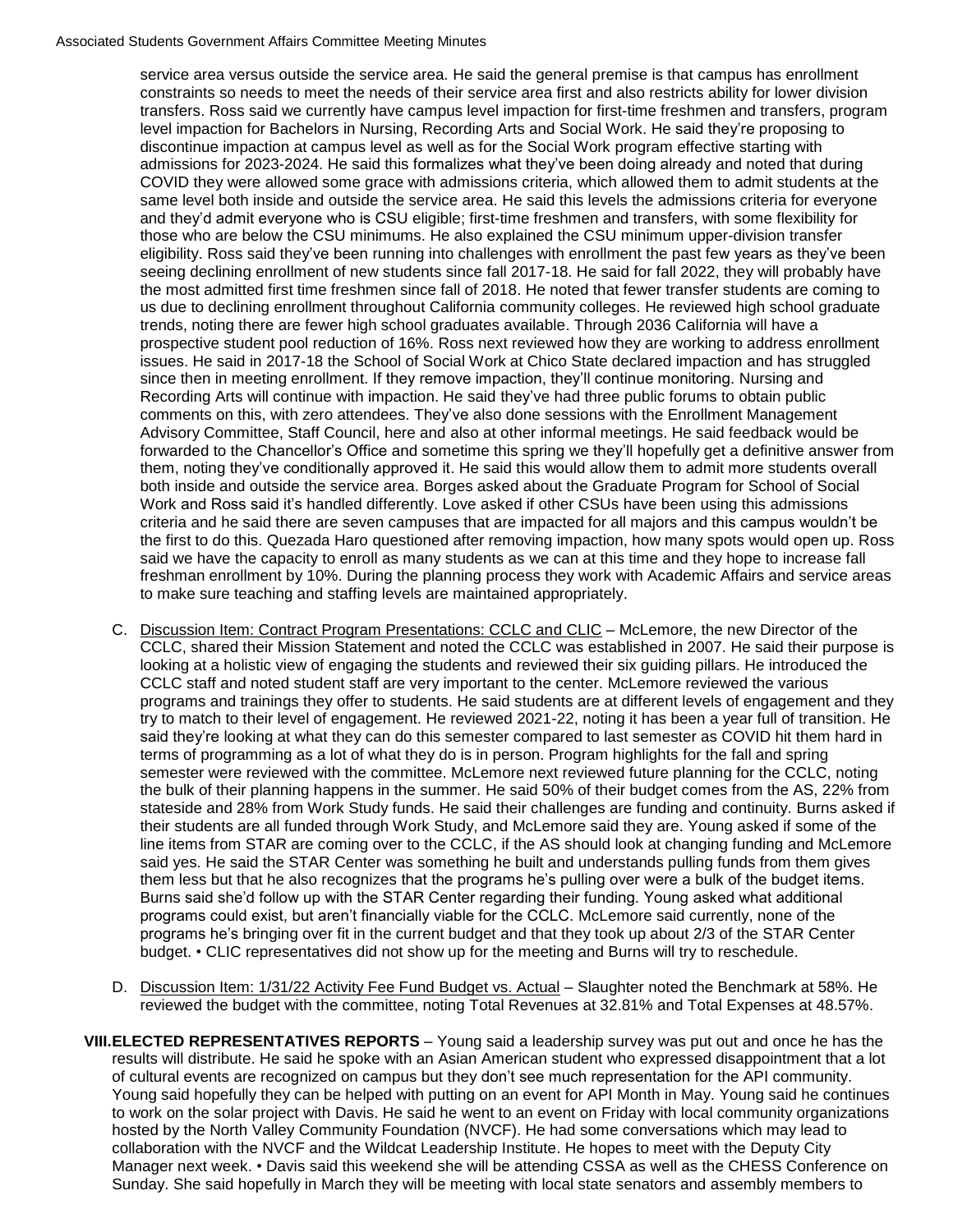### Associated Students Government Affairs Committee Meeting Minutes

 discontinue impaction at campus level as well as for the Social Work program effective starting with us due to declining enrollment throughout California community colleges. He reviewed high school graduate issues. He said in 2017-18 the School of Social Work at Chico State declared impaction and has struggled Recording Arts will continue with impaction. He said they've had three public forums to obtain public both inside and outside the service area. Borges asked about the Graduate Program for School of Social Work and Ross said it's handled differently. Love asked if other CSUs have been using this admissions said we have the capacity to enroll as many students as we can at this time and they hope to increase fall service area versus outside the service area. He said the general premise is that campus has enrollment constraints so needs to meet the needs of their service area first and also restricts ability for lower division transfers. Ross said we currently have campus level impaction for first-time freshmen and transfers, program level impaction for Bachelors in Nursing, Recording Arts and Social Work. He said they're proposing to admissions for 2023-2024. He said this formalizes what they've been doing already and noted that during COVID they were allowed some grace with admissions criteria, which allowed them to admit students at the same level both inside and outside the service area. He said this levels the admissions criteria for everyone and they'd admit everyone who is CSU eligible; first-time freshmen and transfers, with some flexibility for those who are below the CSU minimums. He also explained the CSU minimum upper-division transfer eligibility. Ross said they've been running into challenges with enrollment the past few years as they've been seeing declining enrollment of new students since fall 2017-18. He said for fall 2022, they will probably have the most admitted first time freshmen since fall of 2018. He noted that fewer transfer students are coming to trends, noting there are fewer high school graduates available. Through 2036 California will have a prospective student pool reduction of 16%. Ross next reviewed how they are working to address enrollment since then in meeting enrollment. If they remove impaction, they'll continue monitoring. Nursing and comments on this, with zero attendees. They've also done sessions with the Enrollment Management Advisory Committee, Staff Council, here and also at other informal meetings. He said feedback would be forwarded to the Chancellor's Office and sometime this spring we they'll hopefully get a definitive answer from them, noting they've conditionally approved it. He said this would allow them to admit more students overall criteria and he said there are seven campuses that are impacted for all majors and this campus wouldn't be the first to do this. Quezada Haro questioned after removing impaction, how many spots would open up. Ross freshman enrollment by 10%. During the planning process they work with Academic Affairs and service areas to make sure teaching and staffing levels are maintained appropriately.

- looking at a holistic view of engaging the students and reviewed their six guiding pillars. He introduced the said yes. He said the STAR Center was something he built and understands pulling funds from them gives Burns said she'd follow up with the STAR Center regarding their funding. Young asked what additional C. Discussion Item: Contract Program Presentations: CCLC and CLIC – McLemore, the new Director of the CCLC, shared their Mission Statement and noted the CCLC was established in 2007. He said their purpose is CCLC staff and noted student staff are very important to the center. McLemore reviewed the various programs and trainings they offer to students. He said students are at different levels of engagement and they try to match to their level of engagement. He reviewed 2021-22, noting it has been a year full of transition. He said they're looking at what they can do this semester compared to last semester as COVID hit them hard in terms of programming as a lot of what they do is in person. Program highlights for the fall and spring semester were reviewed with the committee. McLemore next reviewed future planning for the CCLC, noting the bulk of their planning happens in the summer. He said 50% of their budget comes from the AS, 22% from stateside and 28% from Work Study funds. He said their challenges are funding and continuity. Burns asked if their students are all funded through Work Study, and McLemore said they are. Young asked if some of the line items from STAR are coming over to the CCLC, if the AS should look at changing funding and McLemore them less but that he also recognizes that the programs he's pulling over were a bulk of the budget items. programs could exist, but aren't financially viable for the CCLC. McLemore said currently, none of the programs he's bringing over fit in the current budget and that they took up about 2/3 of the STAR Center budget. • CLIC representatives did not show up for the meeting and Burns will try to reschedule.
- reviewed the budget with the committee, noting Total Revenues at 32.81% and Total Expenses at 48.57%. D. Discussion Item: 1/31/22 Activity Fee Fund Budget vs. Actual – Slaughter noted the Benchmark at 58%. He
- results will distribute. He said he spoke with an Asian American student who expressed disappointment that a lot of cultural events are recognized on campus but they don't see much representation for the API community. hosted by the North Valley Community Foundation (NVCF). He had some conversations which may lead to Sunday. She said hopefully in March they will be meeting with local state senators and assembly members to **VIII.ELECTED REPRESENTATIVES REPORTS** – Young said a leadership survey was put out and once he has the Young said hopefully they can be helped with putting on an event for API Month in May. Young said he continues to work on the solar project with Davis. He said he went to an event on Friday with local community organizations collaboration with the NVCF and the Wildcat Leadership Institute. He hopes to meet with the Deputy City Manager next week. • Davis said this weekend she will be attending CSSA as well as the CHESS Conference on